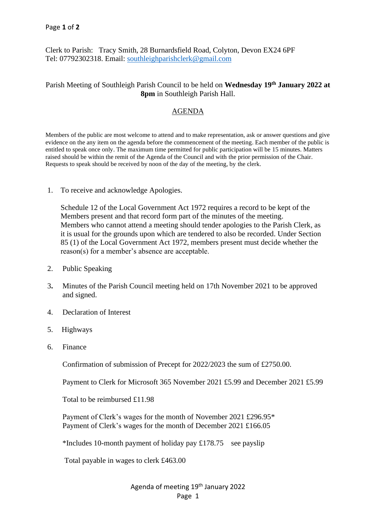Clerk to Parish: Tracy Smith, 28 Burnardsfield Road, Colyton, Devon EX24 6PF Tel: 07792302318. Email: [southleighparishclerk@gmail.com](mailto:southleighparishclerk@gmail.com)

## Parish Meeting of Southleigh Parish Council to be held on **Wednesday 19th January 2022 at 8pm** in Southleigh Parish Hall.

## AGENDA

Members of the public are most welcome to attend and to make representation, ask or answer questions and give evidence on the any item on the agenda before the commencement of the meeting. Each member of the public is entitled to speak once only. The maximum time permitted for public participation will be 15 minutes. Matters raised should be within the remit of the Agenda of the Council and with the prior permission of the Chair. Requests to speak should be received by noon of the day of the meeting, by the clerk.

1. To receive and acknowledge Apologies.

 Schedule 12 of the Local Government Act 1972 requires a record to be kept of the Members present and that record form part of the minutes of the meeting. Members who cannot attend a meeting should tender apologies to the Parish Clerk, as it is usual for the grounds upon which are tendered to also be recorded. Under Section 85 (1) of the Local Government Act 1972, members present must decide whether the reason(s) for a member's absence are acceptable.

- 2. Public Speaking
- 3**.** Minutes of the Parish Council meeting held on 17th November 2021 to be approved and signed.
- 4. Declaration of Interest
- 5. Highways
- 6. Finance

Confirmation of submission of Precept for 2022/2023 the sum of £2750.00.

Payment to Clerk for Microsoft 365 November 2021 £5.99 and December 2021 £5.99

Total to be reimbursed £11.98

 Payment of Clerk's wages for the month of November 2021 £296.95\* Payment of Clerk's wages for the month of December 2021 £166.05

\*Includes 10-month payment of holiday pay £178.75 see payslip

Total payable in wages to clerk £463.00

Agenda of meeting 19th January 2022 Page 1